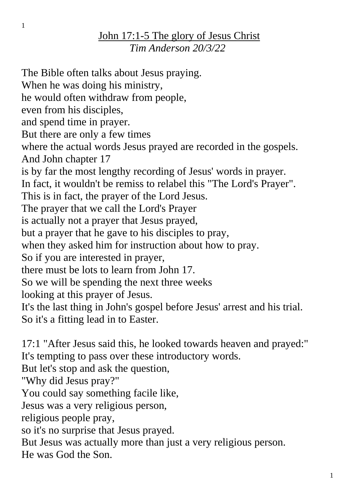## John 17:1-5 The glory of Jesus Christ *Tim Anderson 20/3/22*

The Bible often talks about Jesus praying. When he was doing his ministry, he would often withdraw from people, even from his disciples, and spend time in prayer. But there are only a few times where the actual words Jesus prayed are recorded in the gospels. And John chapter 17 is by far the most lengthy recording of Jesus' words in prayer. In fact, it wouldn't be remiss to relabel this "The Lord's Prayer". This is in fact, the prayer of the Lord Jesus. The prayer that we call the Lord's Prayer is actually not a prayer that Jesus prayed, but a prayer that he gave to his disciples to pray, when they asked him for instruction about how to pray. So if you are interested in prayer, there must be lots to learn from John 17. So we will be spending the next three weeks looking at this prayer of Jesus. It's the last thing in John's gospel before Jesus' arrest and his trial. So it's a fitting lead in to Easter.

17:1 "After Jesus said this, he looked towards heaven and prayed:" It's tempting to pass over these introductory words.

But let's stop and ask the question,

"Why did Jesus pray?"

You could say something facile like,

Jesus was a very religious person,

religious people pray,

so it's no surprise that Jesus prayed.

But Jesus was actually more than just a very religious person.

He was God the Son.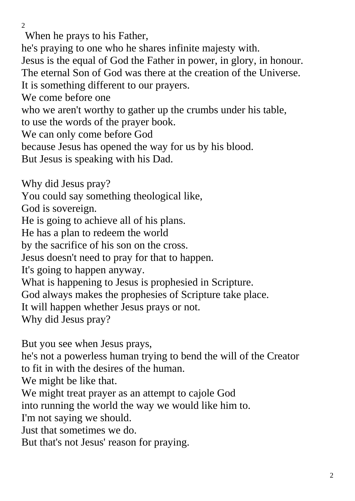When he prays to his Father,

he's praying to one who he shares infinite majesty with.

Jesus is the equal of God the Father in power, in glory, in honour. The eternal Son of God was there at the creation of the Universe.

It is something different to our prayers.

We come before one

who we aren't worthy to gather up the crumbs under his table,

to use the words of the prayer book.

We can only come before God

because Jesus has opened the way for us by his blood.

But Jesus is speaking with his Dad.

Why did Jesus pray?

You could say something theological like,

God is sovereign.

He is going to achieve all of his plans.

He has a plan to redeem the world

by the sacrifice of his son on the cross.

Jesus doesn't need to pray for that to happen.

It's going to happen anyway.

What is happening to Jesus is prophesied in Scripture.

God always makes the prophesies of Scripture take place.

It will happen whether Jesus prays or not.

Why did Jesus pray?

But you see when Jesus prays,

he's not a powerless human trying to bend the will of the Creator to fit in with the desires of the human.

We might be like that.

We might treat prayer as an attempt to cajole God

into running the world the way we would like him to.

I'm not saying we should.

Just that sometimes we do.

But that's not Jesus' reason for praying.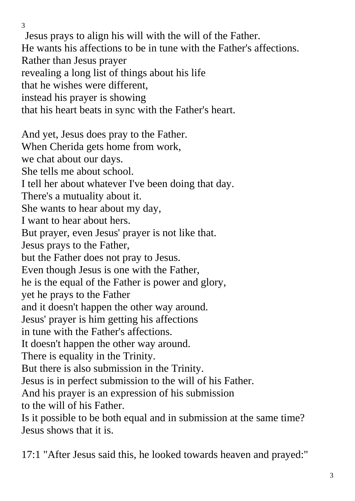Jesus prays to align his will with the will of the Father. He wants his affections to be in tune with the Father's affections. Rather than Jesus prayer revealing a long list of things about his life that he wishes were different, instead his prayer is showing that his heart beats in sync with the Father's heart.

And yet, Jesus does pray to the Father. When Cherida gets home from work, we chat about our days. She tells me about school. I tell her about whatever I've been doing that day. There's a mutuality about it. She wants to hear about my day, I want to hear about hers. But prayer, even Jesus' prayer is not like that. Jesus prays to the Father, but the Father does not pray to Jesus. Even though Jesus is one with the Father, he is the equal of the Father is power and glory, yet he prays to the Father and it doesn't happen the other way around. Jesus' prayer is him getting his affections in tune with the Father's affections. It doesn't happen the other way around. There is equality in the Trinity. But there is also submission in the Trinity. Jesus is in perfect submission to the will of his Father. And his prayer is an expression of his submission to the will of his Father. Is it possible to be both equal and in submission at the same time? Jesus shows that it is.

17:1 "After Jesus said this, he looked towards heaven and prayed:"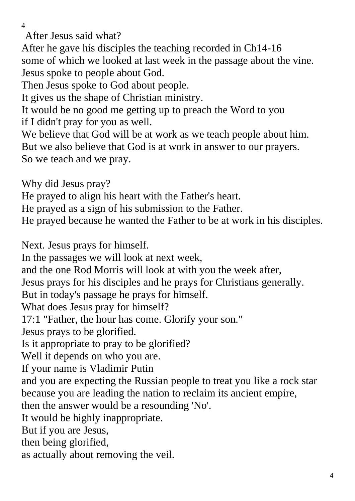After Jesus said what?

After he gave his disciples the teaching recorded in Ch14-16 some of which we looked at last week in the passage about the vine. Jesus spoke to people about God.

Then Jesus spoke to God about people.

It gives us the shape of Christian ministry.

It would be no good me getting up to preach the Word to you if I didn't pray for you as well.

We believe that God will be at work as we teach people about him. But we also believe that God is at work in answer to our prayers. So we teach and we pray.

Why did Jesus pray?

He prayed to align his heart with the Father's heart.

He prayed as a sign of his submission to the Father.

He prayed because he wanted the Father to be at work in his disciples.

Next. Jesus prays for himself.

In the passages we will look at next week,

and the one Rod Morris will look at with you the week after,

Jesus prays for his disciples and he prays for Christians generally.

But in today's passage he prays for himself.

What does Jesus pray for himself?

17:1 "Father, the hour has come. Glorify your son."

Jesus prays to be glorified.

Is it appropriate to pray to be glorified?

Well it depends on who you are.

If your name is Vladimir Putin

and you are expecting the Russian people to treat you like a rock star because you are leading the nation to reclaim its ancient empire,

then the answer would be a resounding 'No'.

It would be highly inappropriate.

But if you are Jesus,

then being glorified,

as actually about removing the veil.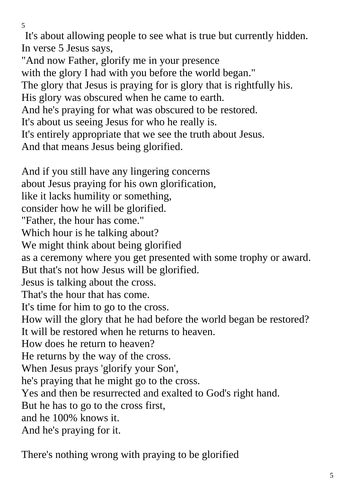It's about allowing people to see what is true but currently hidden. In verse 5 Jesus says,

"And now Father, glorify me in your presence with the glory I had with you before the world began." The glory that Jesus is praying for is glory that is rightfully his. His glory was obscured when he came to earth. And he's praying for what was obscured to be restored. It's about us seeing Jesus for who he really is. It's entirely appropriate that we see the truth about Jesus. And that means Jesus being glorified.

And if you still have any lingering concerns about Jesus praying for his own glorification, like it lacks humility or something, consider how he will be glorified. "Father, the hour has come." Which hour is he talking about? We might think about being glorified as a ceremony where you get presented with some trophy or award. But that's not how Jesus will be glorified. Jesus is talking about the cross. That's the hour that has come. It's time for him to go to the cross. How will the glory that he had before the world began be restored? It will be restored when he returns to heaven. How does he return to heaven? He returns by the way of the cross. When Jesus prays 'glorify your Son', he's praying that he might go to the cross. Yes and then be resurrected and exalted to God's right hand. But he has to go to the cross first, and he 100% knows it. And he's praying for it.

There's nothing wrong with praying to be glorified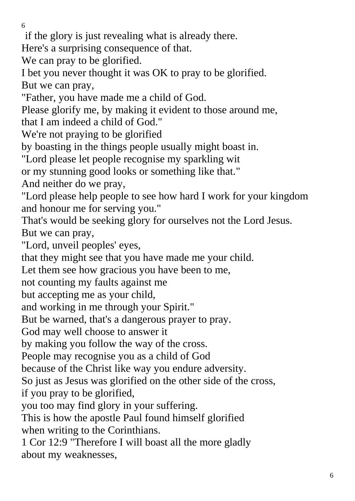if the glory is just revealing what is already there.

Here's a surprising consequence of that.

We can pray to be glorified.

I bet you never thought it was OK to pray to be glorified. But we can pray,

"Father, you have made me a child of God.

Please glorify me, by making it evident to those around me,

that I am indeed a child of God."

We're not praying to be glorified

by boasting in the things people usually might boast in.

"Lord please let people recognise my sparkling wit

or my stunning good looks or something like that."

And neither do we pray,

"Lord please help people to see how hard I work for your kingdom and honour me for serving you."

That's would be seeking glory for ourselves not the Lord Jesus. But we can pray,

"Lord, unveil peoples' eyes,

that they might see that you have made me your child.

Let them see how gracious you have been to me,

not counting my faults against me

but accepting me as your child,

and working in me through your Spirit."

But be warned, that's a dangerous prayer to pray.

God may well choose to answer it

by making you follow the way of the cross.

People may recognise you as a child of God

because of the Christ like way you endure adversity.

So just as Jesus was glorified on the other side of the cross,

if you pray to be glorified,

you too may find glory in your suffering.

This is how the apostle Paul found himself glorified when writing to the Corinthians.

1 Cor 12:9 "Therefore I will boast all the more gladly about my weaknesses,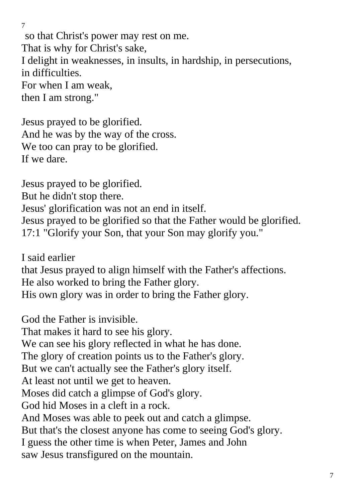so that Christ's power may rest on me. That is why for Christ's sake, I delight in weaknesses, in insults, in hardship, in persecutions, in difficulties. For when I am weak, then I am strong."

Jesus prayed to be glorified. And he was by the way of the cross. We too can pray to be glorified. If we dare.

7

Jesus prayed to be glorified. But he didn't stop there. Jesus' glorification was not an end in itself. Jesus prayed to be glorified so that the Father would be glorified. 17:1 "Glorify your Son, that your Son may glorify you."

I said earlier that Jesus prayed to align himself with the Father's affections. He also worked to bring the Father glory. His own glory was in order to bring the Father glory.

God the Father is invisible. That makes it hard to see his glory. We can see his glory reflected in what he has done. The glory of creation points us to the Father's glory. But we can't actually see the Father's glory itself. At least not until we get to heaven.

Moses did catch a glimpse of God's glory.

God hid Moses in a cleft in a rock.

And Moses was able to peek out and catch a glimpse.

But that's the closest anyone has come to seeing God's glory.

I guess the other time is when Peter, James and John

saw Jesus transfigured on the mountain.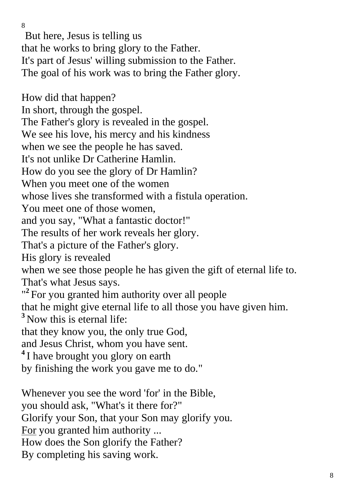But here, Jesus is telling us that he works to bring glory to the Father. It's part of Jesus' willing submission to the Father. The goal of his work was to bring the Father glory.

How did that happen? In short, through the gospel. The Father's glory is revealed in the gospel. We see his love, his mercy and his kindness when we see the people he has saved. It's not unlike Dr Catherine Hamlin. How do you see the glory of Dr Hamlin? When you meet one of the women whose lives she transformed with a fistula operation. You meet one of those women, and you say, "What a fantastic doctor!" The results of her work reveals her glory. That's a picture of the Father's glory. His glory is revealed when we see those people he has given the gift of eternal life to. That's what Jesus says. "<sup>2</sup> For you granted him authority over all people that he might give eternal life to all those you have given him. **<sup>3</sup>** Now this is eternal life: that they know you, the only true God, and Jesus Christ, whom you have sent. <sup>4</sup>I have brought you glory on earth by finishing the work you gave me to do."

Whenever you see the word 'for' in the Bible, you should ask, "What's it there for?" Glorify your Son, that your Son may glorify you. For you granted him authority ... How does the Son glorify the Father? By completing his saving work.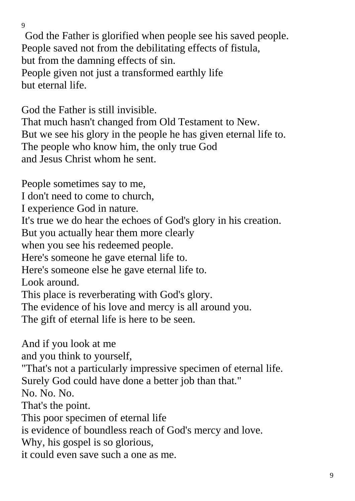God the Father is glorified when people see his saved people. People saved not from the debilitating effects of fistula, but from the damning effects of sin. People given not just a transformed earthly life but eternal life.

God the Father is still invisible.

That much hasn't changed from Old Testament to New. But we see his glory in the people he has given eternal life to. The people who know him, the only true God and Jesus Christ whom he sent.

People sometimes say to me, I don't need to come to church, I experience God in nature. It's true we do hear the echoes of God's glory in his creation. But you actually hear them more clearly when you see his redeemed people. Here's someone he gave eternal life to. Here's someone else he gave eternal life to. Look around. This place is reverberating with God's glory. The evidence of his love and mercy is all around you. The gift of eternal life is here to be seen. And if you look at me and you think to yourself, "That's not a particularly impressive specimen of eternal life. Surely God could have done a better job than that." No. No. No. That's the point. This poor specimen of eternal life is evidence of boundless reach of God's mercy and love. Why, his gospel is so glorious, it could even save such a one as me.